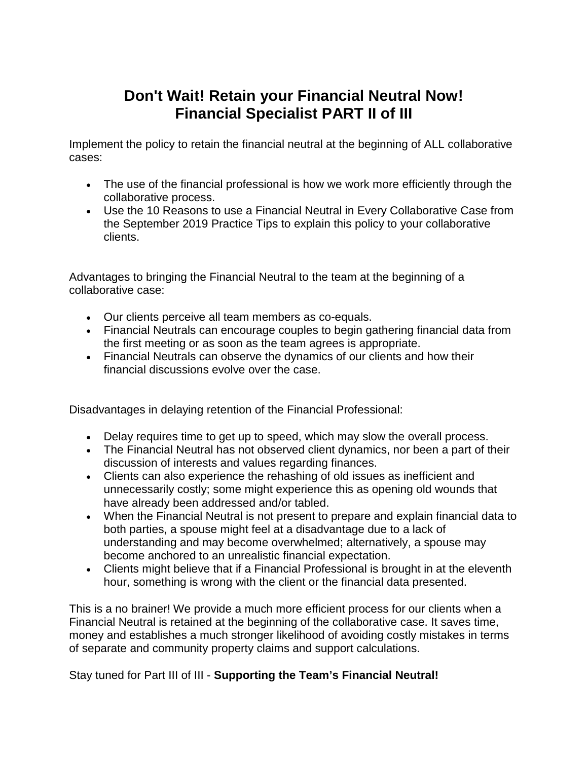## **Don't Wait! Retain your Financial Neutral Now! Financial Specialist PART II of III**

Implement the policy to retain the financial neutral at the beginning of ALL collaborative cases:

- The use of the financial professional is how we work more efficiently through the collaborative process.
- Use the 10 Reasons to use a Financial Neutral in Every Collaborative Case from the September 2019 Practice Tips to explain this policy to your collaborative clients.

Advantages to bringing the Financial Neutral to the team at the beginning of a collaborative case:

- Our clients perceive all team members as co-equals.
- Financial Neutrals can encourage couples to begin gathering financial data from the first meeting or as soon as the team agrees is appropriate.
- Financial Neutrals can observe the dynamics of our clients and how their financial discussions evolve over the case.

Disadvantages in delaying retention of the Financial Professional:

- Delay requires time to get up to speed, which may slow the overall process.
- The Financial Neutral has not observed client dynamics, nor been a part of their discussion of interests and values regarding finances.
- Clients can also experience the rehashing of old issues as inefficient and unnecessarily costly; some might experience this as opening old wounds that have already been addressed and/or tabled.
- When the Financial Neutral is not present to prepare and explain financial data to both parties, a spouse might feel at a disadvantage due to a lack of understanding and may become overwhelmed; alternatively, a spouse may become anchored to an unrealistic financial expectation.
- Clients might believe that if a Financial Professional is brought in at the eleventh hour, something is wrong with the client or the financial data presented.

This is a no brainer! We provide a much more efficient process for our clients when a Financial Neutral is retained at the beginning of the collaborative case. It saves time, money and establishes a much stronger likelihood of avoiding costly mistakes in terms of separate and community property claims and support calculations.

Stay tuned for Part III of III - **Supporting the Team's Financial Neutral!**